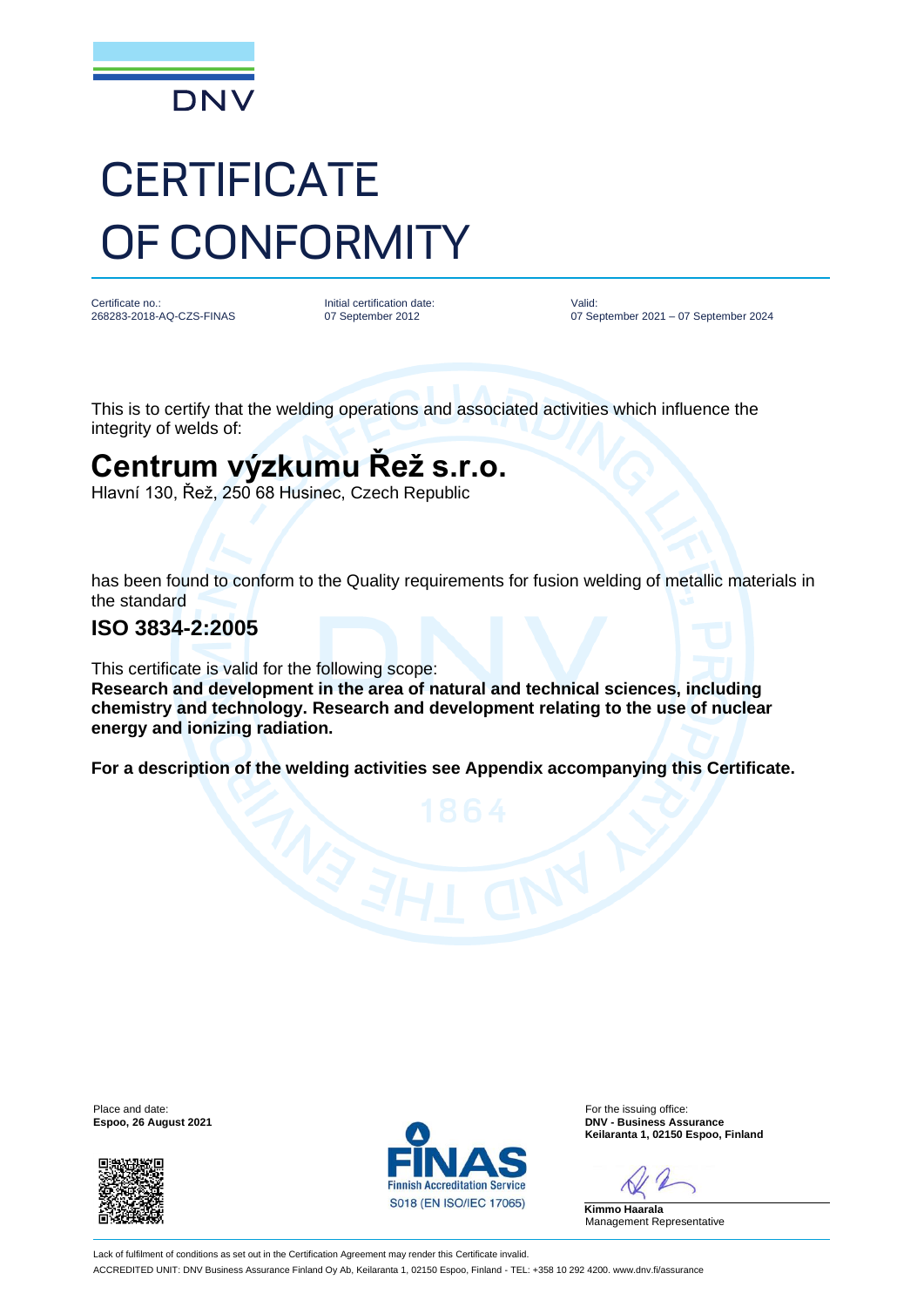

# **CERTIFICATE** OF CONFORMITY

Certificate no.: 268283-2018-AQ-CZS-FINAS Initial certification date: 07 September 2012

Valid: 07 September 2021 – 07 September 2024

This is to certify that the welding operations and associated activities which influence the integrity of welds of:

## **Centrum výzkumu Řež s.r.o.**

Hlavní 130, Řež, 250 68 Husinec, Czech Republic

has been found to conform to the Quality requirements for fusion welding of metallic materials in the standard

#### **ISO 3834-2:2005**

**energy and ionizing radiation.** 

This certificate is valid for the following scope: **Research and development in the area of natural and technical sciences, including chemistry and technology. Research and development relating to the use of nuclear** 

**For a description of the welding activities see Appendix accompanying this Certificate.**

**Espoo, 26 August 2021** 





Place and date: For the issuing office:<br>
For the issuing office:<br>
For the issuing office:<br>
For the issuing office:<br>
DNV - Rusiness Assurance **Keilaranta 1, 02150 Espoo, Finland**

**Kimmo Haarala** Management Representative

Lack of fulfilment of conditions as set out in the Certification Agreement may render this Certificate invalid. ACCREDITED UNIT: DNV Business Assurance Finland Oy Ab, Keilaranta 1, 02150 Espoo, Finland - TEL: +358 10 292 4200. www.dnv.fi/assurance